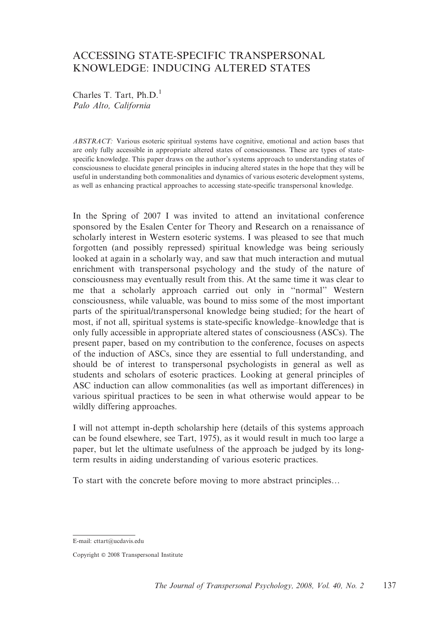# ACCESSING STATE-SPECIFIC TRANSPERSONAL KNOWLEDGE: INDUCING ALTERED STATES

Charles T. Tart,  $Ph.D.<sup>1</sup>$ Palo Alto, California

ABSTRACT: Various esoteric spiritual systems have cognitive, emotional and action bases that are only fully accessible in appropriate altered states of consciousness. These are types of statespecific knowledge. This paper draws on the author's systems approach to understanding states of consciousness to elucidate general principles in inducing altered states in the hope that they will be useful in understanding both commonalities and dynamics of various esoteric development systems, as well as enhancing practical approaches to accessing state-specific transpersonal knowledge.

In the Spring of 2007 I was invited to attend an invitational conference sponsored by the Esalen Center for Theory and Research on a renaissance of scholarly interest in Western esoteric systems. I was pleased to see that much forgotten (and possibly repressed) spiritual knowledge was being seriously looked at again in a scholarly way, and saw that much interaction and mutual enrichment with transpersonal psychology and the study of the nature of consciousness may eventually result from this. At the same time it was clear to me that a scholarly approach carried out only in ''normal'' Western consciousness, while valuable, was bound to miss some of the most important parts of the spiritual/transpersonal knowledge being studied; for the heart of most, if not all, spiritual systems is state-specific knowledge–knowledge that is only fully accessible in appropriate altered states of consciousness (ASCs). The present paper, based on my contribution to the conference, focuses on aspects of the induction of ASCs, since they are essential to full understanding, and should be of interest to transpersonal psychologists in general as well as students and scholars of esoteric practices. Looking at general principles of ASC induction can allow commonalities (as well as important differences) in various spiritual practices to be seen in what otherwise would appear to be wildly differing approaches.

I will not attempt in-depth scholarship here (details of this systems approach can be found elsewhere, see Tart, 1975), as it would result in much too large a paper, but let the ultimate usefulness of the approach be judged by its longterm results in aiding understanding of various esoteric practices.

To start with the concrete before moving to more abstract principles…

E-Mail: cttart@ucdavis.edu E-mail: cttart@ucdavis.edu

Copyright  $@$  2008 Transpersonal Institute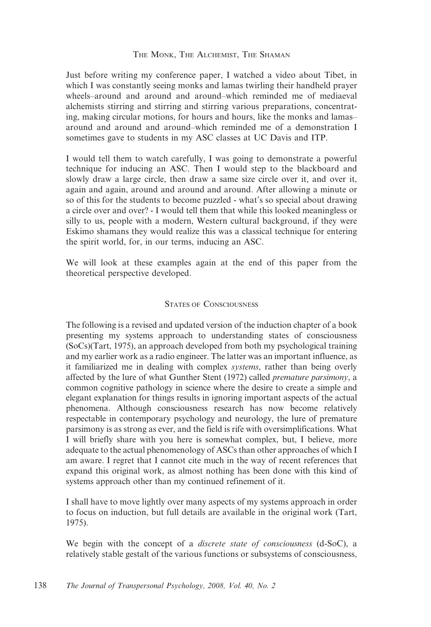#### THE MONK, THE ALCHEMIST, THE SHAMAN

Just before writing my conference paper, I watched a video about Tibet, in which I was constantly seeing monks and lamas twirling their handheld prayer wheels–around and around and around–which reminded me of mediaeval alchemists stirring and stirring and stirring various preparations, concentrating, making circular motions, for hours and hours, like the monks and lamas– around and around and around–which reminded me of a demonstration I sometimes gave to students in my ASC classes at UC Davis and ITP.

I would tell them to watch carefully, I was going to demonstrate a powerful technique for inducing an ASC. Then I would step to the blackboard and slowly draw a large circle, then draw a same size circle over it, and over it, again and again, around and around and around. After allowing a minute or so of this for the students to become puzzled - what's so special about drawing a circle over and over? - I would tell them that while this looked meaningless or silly to us, people with a modern, Western cultural background, if they were Eskimo shamans they would realize this was a classical technique for entering the spirit world, for, in our terms, inducing an ASC.

We will look at these examples again at the end of this paper from the theoretical perspective developed.

#### STATES OF CONSCIOUSNESS

The following is a revised and updated version of the induction chapter of a book presenting my systems approach to understanding states of consciousness (SoCs)(Tart, 1975), an approach developed from both my psychological training and my earlier work as a radio engineer. The latter was an important influence, as it familiarized me in dealing with complex systems, rather than being overly affected by the lure of what Gunther Stent (1972) called *premature parsimony*, a common cognitive pathology in science where the desire to create a simple and elegant explanation for things results in ignoring important aspects of the actual phenomena. Although consciousness research has now become relatively respectable in contemporary psychology and neurology, the lure of premature parsimony is as strong as ever, and the field is rife with oversimplifications. What I will briefly share with you here is somewhat complex, but, I believe, more adequate to the actual phenomenology of ASCs than other approaches of which I am aware. I regret that I cannot cite much in the way of recent references that expand this original work, as almost nothing has been done with this kind of systems approach other than my continued refinement of it.

I shall have to move lightly over many aspects of my systems approach in order to focus on induction, but full details are available in the original work (Tart, 1975).

We begin with the concept of a *discrete state of consciousness* (d-SoC), a relatively stable gestalt of the various functions or subsystems of consciousness,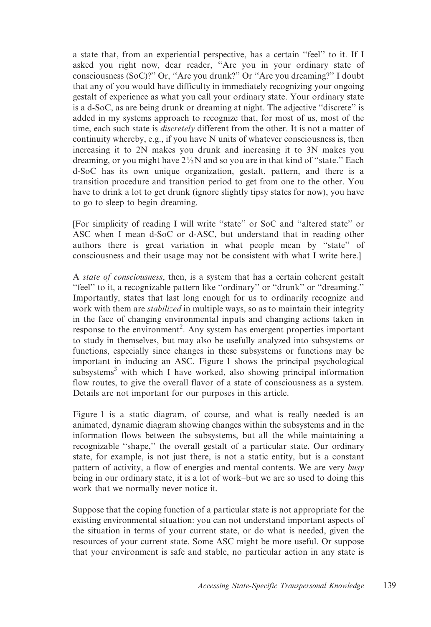a state that, from an experiential perspective, has a certain ''feel'' to it. If I asked you right now, dear reader, ''Are you in your ordinary state of consciousness (SoC)?'' Or, ''Are you drunk?'' Or ''Are you dreaming?'' I doubt that any of you would have difficulty in immediately recognizing your ongoing gestalt of experience as what you call your ordinary state. Your ordinary state is a d-SoC, as are being drunk or dreaming at night. The adjective ''discrete'' is added in my systems approach to recognize that, for most of us, most of the time, each such state is *discretely* different from the other. It is not a matter of continuity whereby, e.g., if you have N units of whatever consciousness is, then increasing it to 2N makes you drunk and increasing it to 3N makes you dreaming, or you might have  $2\frac{1}{2}N$  and so you are in that kind of "state." Each d-SoC has its own unique organization, gestalt, pattern, and there is a transition procedure and transition period to get from one to the other. You have to drink a lot to get drunk (ignore slightly tipsy states for now), you have to go to sleep to begin dreaming.

[For simplicity of reading I will write ''state'' or SoC and ''altered state'' or ASC when I mean d-SoC or d-ASC, but understand that in reading other authors there is great variation in what people mean by ''state'' of consciousness and their usage may not be consistent with what I write here.]

A state of consciousness, then, is a system that has a certain coherent gestalt "feel" to it, a recognizable pattern like "ordinary" or "drunk" or "dreaming." Importantly, states that last long enough for us to ordinarily recognize and work with them are *stabilized* in multiple ways, so as to maintain their integrity in the face of changing environmental inputs and changing actions taken in response to the environment<sup>2</sup>. Any system has emergent properties important to study in themselves, but may also be usefully analyzed into subsystems or functions, especially since changes in these subsystems or functions may be important in inducing an ASC. Figure 1 shows the principal psychological subsystems<sup>3</sup> with which I have worked, also showing principal information flow routes, to give the overall flavor of a state of consciousness as a system. Details are not important for our purposes in this article.

Figure 1 is a static diagram, of course, and what is really needed is an animated, dynamic diagram showing changes within the subsystems and in the information flows between the subsystems, but all the while maintaining a recognizable ''shape,'' the overall gestalt of a particular state. Our ordinary state, for example, is not just there, is not a static entity, but is a constant pattern of activity, a flow of energies and mental contents. We are very busy being in our ordinary state, it is a lot of work–but we are so used to doing this work that we normally never notice it.

Suppose that the coping function of a particular state is not appropriate for the existing environmental situation: you can not understand important aspects of the situation in terms of your current state, or do what is needed, given the resources of your current state. Some ASC might be more useful. Or suppose that your environment is safe and stable, no particular action in any state is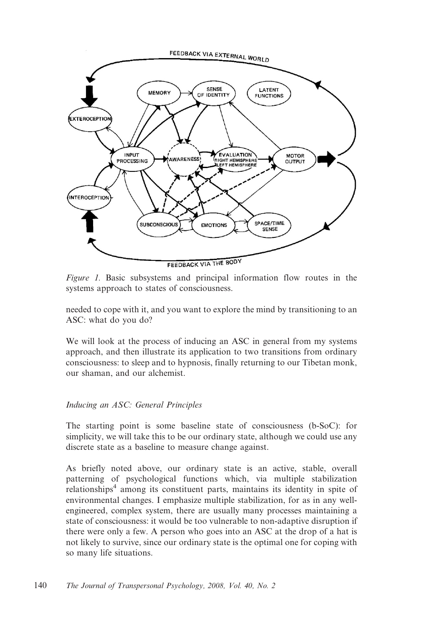

Figure 1. Basic subsystems and principal information flow routes in the systems approach to states of consciousness.

needed to cope with it, and you want to explore the mind by transitioning to an ASC: what do you do?

We will look at the process of inducing an ASC in general from my systems approach, and then illustrate its application to two transitions from ordinary consciousness: to sleep and to hypnosis, finally returning to our Tibetan monk, our shaman, and our alchemist.

### Inducing an ASC: General Principles

The starting point is some baseline state of consciousness (b-SoC): for simplicity, we will take this to be our ordinary state, although we could use any discrete state as a baseline to measure change against.

As briefly noted above, our ordinary state is an active, stable, overall patterning of psychological functions which, via multiple stabilization relationships<sup>4</sup> among its constituent parts, maintains its identity in spite of environmental changes. I emphasize multiple stabilization, for as in any wellengineered, complex system, there are usually many processes maintaining a state of consciousness: it would be too vulnerable to non-adaptive disruption if there were only a few. A person who goes into an ASC at the drop of a hat is not likely to survive, since our ordinary state is the optimal one for coping with so many life situations.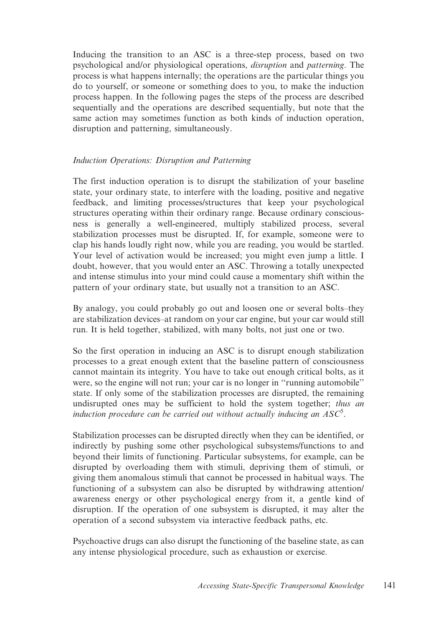Inducing the transition to an ASC is a three-step process, based on two psychological and/or physiological operations, disruption and patterning. The process is what happens internally; the operations are the particular things you do to yourself, or someone or something does to you, to make the induction process happen. In the following pages the steps of the process are described sequentially and the operations are described sequentially, but note that the same action may sometimes function as both kinds of induction operation, disruption and patterning, simultaneously.

### Induction Operations: Disruption and Patterning

The first induction operation is to disrupt the stabilization of your baseline state, your ordinary state, to interfere with the loading, positive and negative feedback, and limiting processes/structures that keep your psychological structures operating within their ordinary range. Because ordinary consciousness is generally a well-engineered, multiply stabilized process, several stabilization processes must be disrupted. If, for example, someone were to clap his hands loudly right now, while you are reading, you would be startled. Your level of activation would be increased; you might even jump a little. I doubt, however, that you would enter an ASC. Throwing a totally unexpected and intense stimulus into your mind could cause a momentary shift within the pattern of your ordinary state, but usually not a transition to an ASC.

By analogy, you could probably go out and loosen one or several bolts–they are stabilization devices–at random on your car engine, but your car would still run. It is held together, stabilized, with many bolts, not just one or two.

So the first operation in inducing an ASC is to disrupt enough stabilization processes to a great enough extent that the baseline pattern of consciousness cannot maintain its integrity. You have to take out enough critical bolts, as it were, so the engine will not run; your car is no longer in ''running automobile'' state. If only some of the stabilization processes are disrupted, the remaining undisrupted ones may be sufficient to hold the system together; thus an induction procedure can be carried out without actually inducing an  $ASC^5$ .

Stabilization processes can be disrupted directly when they can be identified, or indirectly by pushing some other psychological subsystems/functions to and beyond their limits of functioning. Particular subsystems, for example, can be disrupted by overloading them with stimuli, depriving them of stimuli, or giving them anomalous stimuli that cannot be processed in habitual ways. The functioning of a subsystem can also be disrupted by withdrawing attention/ awareness energy or other psychological energy from it, a gentle kind of disruption. If the operation of one subsystem is disrupted, it may alter the operation of a second subsystem via interactive feedback paths, etc.

Psychoactive drugs can also disrupt the functioning of the baseline state, as can any intense physiological procedure, such as exhaustion or exercise.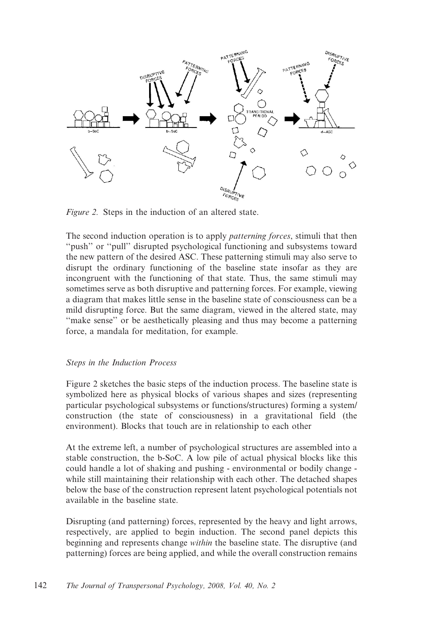

Figure 2. Steps in the induction of an altered state.

The second induction operation is to apply *patterning forces*, stimuli that then "push" or "pull" disrupted psychological functioning and subsystems toward the new pattern of the desired ASC. These patterning stimuli may also serve to disrupt the ordinary functioning of the baseline state insofar as they are incongruent with the functioning of that state. Thus, the same stimuli may sometimes serve as both disruptive and patterning forces. For example, viewing a diagram that makes little sense in the baseline state of consciousness can be a mild disrupting force. But the same diagram, viewed in the altered state, may "make sense" or be aesthetically pleasing and thus may become a patterning force, a mandala for meditation, for example.

#### Steps in the Induction Process

Figure 2 sketches the basic steps of the induction process. The baseline state is symbolized here as physical blocks of various shapes and sizes (representing particular psychological subsystems or functions/structures) forming a system/ construction (the state of consciousness) in a gravitational field (the environment). Blocks that touch are in relationship to each other

At the extreme left, a number of psychological structures are assembled into a stable construction, the b-SoC. A low pile of actual physical blocks like this could handle a lot of shaking and pushing - environmental or bodily change while still maintaining their relationship with each other. The detached shapes below the base of the construction represent latent psychological potentials not available in the baseline state.

Disrupting (and patterning) forces, represented by the heavy and light arrows, respectively, are applied to begin induction. The second panel depicts this beginning and represents change within the baseline state. The disruptive (and patterning) forces are being applied, and while the overall construction remains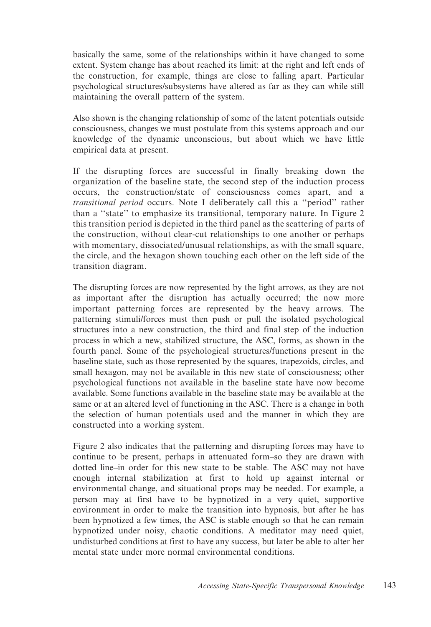basically the same, some of the relationships within it have changed to some extent. System change has about reached its limit: at the right and left ends of the construction, for example, things are close to falling apart. Particular psychological structures/subsystems have altered as far as they can while still maintaining the overall pattern of the system.

Also shown is the changing relationship of some of the latent potentials outside consciousness, changes we must postulate from this systems approach and our knowledge of the dynamic unconscious, but about which we have little empirical data at present.

If the disrupting forces are successful in finally breaking down the organization of the baseline state, the second step of the induction process occurs, the construction/state of consciousness comes apart, and a transitional period occurs. Note I deliberately call this a ''period'' rather than a ''state'' to emphasize its transitional, temporary nature. In Figure 2 this transition period is depicted in the third panel as the scattering of parts of the construction, without clear-cut relationships to one another or perhaps with momentary, dissociated/unusual relationships, as with the small square, the circle, and the hexagon shown touching each other on the left side of the transition diagram.

The disrupting forces are now represented by the light arrows, as they are not as important after the disruption has actually occurred; the now more important patterning forces are represented by the heavy arrows. The patterning stimuli/forces must then push or pull the isolated psychological structures into a new construction, the third and final step of the induction process in which a new, stabilized structure, the ASC, forms, as shown in the fourth panel. Some of the psychological structures/functions present in the baseline state, such as those represented by the squares, trapezoids, circles, and small hexagon, may not be available in this new state of consciousness; other psychological functions not available in the baseline state have now become available. Some functions available in the baseline state may be available at the same or at an altered level of functioning in the ASC. There is a change in both the selection of human potentials used and the manner in which they are constructed into a working system.

Figure 2 also indicates that the patterning and disrupting forces may have to continue to be present, perhaps in attenuated form–so they are drawn with dotted line–in order for this new state to be stable. The ASC may not have enough internal stabilization at first to hold up against internal or environmental change, and situational props may be needed. For example, a person may at first have to be hypnotized in a very quiet, supportive environment in order to make the transition into hypnosis, but after he has been hypnotized a few times, the ASC is stable enough so that he can remain hypnotized under noisy, chaotic conditions. A meditator may need quiet, undisturbed conditions at first to have any success, but later be able to alter her mental state under more normal environmental conditions.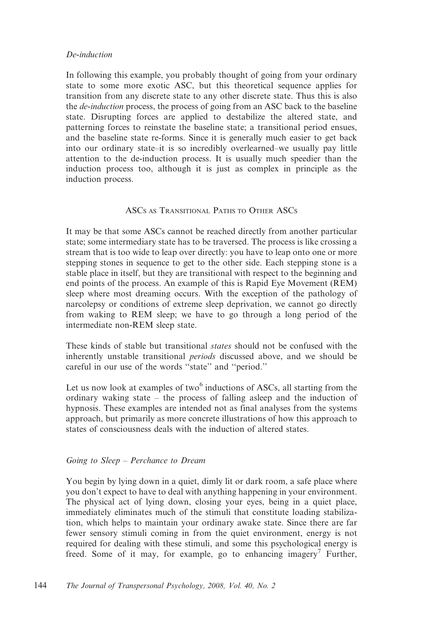### De-induction

In following this example, you probably thought of going from your ordinary state to some more exotic ASC, but this theoretical sequence applies for transition from any discrete state to any other discrete state. Thus this is also the *de-induction* process, the process of going from an ASC back to the baseline state. Disrupting forces are applied to destabilize the altered state, and patterning forces to reinstate the baseline state; a transitional period ensues, and the baseline state re-forms. Since it is generally much easier to get back into our ordinary state–it is so incredibly overlearned–we usually pay little attention to the de-induction process. It is usually much speedier than the induction process too, although it is just as complex in principle as the induction process.

### ASCS AS TRANSITIONAL PATHS TO OTHER ASCS

It may be that some ASCs cannot be reached directly from another particular state; some intermediary state has to be traversed. The process is like crossing a stream that is too wide to leap over directly: you have to leap onto one or more stepping stones in sequence to get to the other side. Each stepping stone is a stable place in itself, but they are transitional with respect to the beginning and end points of the process. An example of this is Rapid Eye Movement (REM) sleep where most dreaming occurs. With the exception of the pathology of narcolepsy or conditions of extreme sleep deprivation, we cannot go directly from waking to REM sleep; we have to go through a long period of the intermediate non-REM sleep state.

These kinds of stable but transitional states should not be confused with the inherently unstable transitional periods discussed above, and we should be careful in our use of the words ''state'' and ''period.''

Let us now look at examples of two $<sup>6</sup>$  inductions of ASCs, all starting from the</sup> ordinary waking state – the process of falling asleep and the induction of hypnosis. These examples are intended not as final analyses from the systems approach, but primarily as more concrete illustrations of how this approach to states of consciousness deals with the induction of altered states.

#### Going to Sleep – Perchance to Dream

You begin by lying down in a quiet, dimly lit or dark room, a safe place where you don't expect to have to deal with anything happening in your environment. The physical act of lying down, closing your eyes, being in a quiet place, immediately eliminates much of the stimuli that constitute loading stabilization, which helps to maintain your ordinary awake state. Since there are far fewer sensory stimuli coming in from the quiet environment, energy is not required for dealing with these stimuli, and some this psychological energy is freed. Some of it may, for example, go to enhancing imagery<sup>7</sup> Further,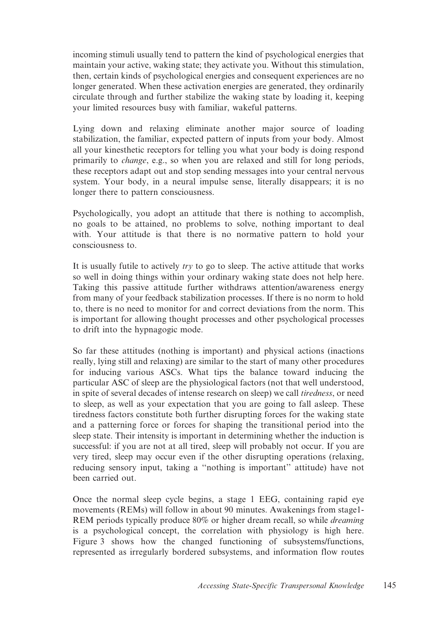incoming stimuli usually tend to pattern the kind of psychological energies that maintain your active, waking state; they activate you. Without this stimulation, then, certain kinds of psychological energies and consequent experiences are no longer generated. When these activation energies are generated, they ordinarily circulate through and further stabilize the waking state by loading it, keeping your limited resources busy with familiar, wakeful patterns.

Lying down and relaxing eliminate another major source of loading stabilization, the familiar, expected pattern of inputs from your body. Almost all your kinesthetic receptors for telling you what your body is doing respond primarily to change, e.g., so when you are relaxed and still for long periods, these receptors adapt out and stop sending messages into your central nervous system. Your body, in a neural impulse sense, literally disappears; it is no longer there to pattern consciousness.

Psychologically, you adopt an attitude that there is nothing to accomplish, no goals to be attained, no problems to solve, nothing important to deal with. Your attitude is that there is no normative pattern to hold your consciousness to.

It is usually futile to actively  $try$  to go to sleep. The active attitude that works so well in doing things within your ordinary waking state does not help here. Taking this passive attitude further withdraws attention/awareness energy from many of your feedback stabilization processes. If there is no norm to hold to, there is no need to monitor for and correct deviations from the norm. This is important for allowing thought processes and other psychological processes to drift into the hypnagogic mode.

So far these attitudes (nothing is important) and physical actions (inactions really, lying still and relaxing) are similar to the start of many other procedures for inducing various ASCs. What tips the balance toward inducing the particular ASC of sleep are the physiological factors (not that well understood, in spite of several decades of intense research on sleep) we call tiredness, or need to sleep, as well as your expectation that you are going to fall asleep. These tiredness factors constitute both further disrupting forces for the waking state and a patterning force or forces for shaping the transitional period into the sleep state. Their intensity is important in determining whether the induction is successful: if you are not at all tired, sleep will probably not occur. If you are very tired, sleep may occur even if the other disrupting operations (relaxing, reducing sensory input, taking a ''nothing is important'' attitude) have not been carried out.

Once the normal sleep cycle begins, a stage 1 EEG, containing rapid eye movements (REMs) will follow in about 90 minutes. Awakenings from stage1- REM periods typically produce 80% or higher dream recall, so while *dreaming* is a psychological concept, the correlation with physiology is high here. Figure 3 shows how the changed functioning of subsystems/functions, represented as irregularly bordered subsystems, and information flow routes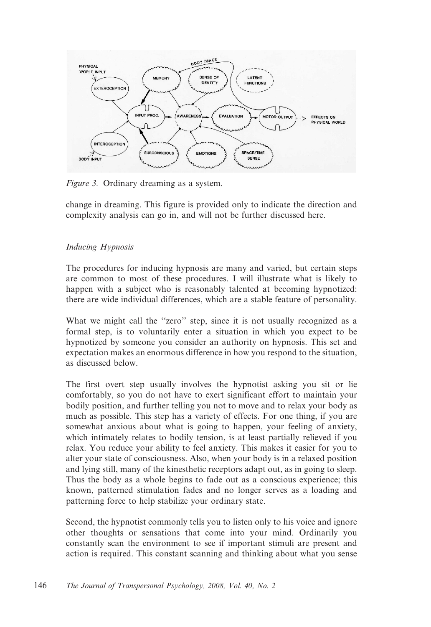

Figure 3. Ordinary dreaming as a system.

change in dreaming. This figure is provided only to indicate the direction and complexity analysis can go in, and will not be further discussed here.

## Inducing Hypnosis

The procedures for inducing hypnosis are many and varied, but certain steps are common to most of these procedures. I will illustrate what is likely to happen with a subject who is reasonably talented at becoming hypnotized: there are wide individual differences, which are a stable feature of personality.

What we might call the "zero" step, since it is not usually recognized as a formal step, is to voluntarily enter a situation in which you expect to be hypnotized by someone you consider an authority on hypnosis. This set and expectation makes an enormous difference in how you respond to the situation, as discussed below.

The first overt step usually involves the hypnotist asking you sit or lie comfortably, so you do not have to exert significant effort to maintain your bodily position, and further telling you not to move and to relax your body as much as possible. This step has a variety of effects. For one thing, if you are somewhat anxious about what is going to happen, your feeling of anxiety, which intimately relates to bodily tension, is at least partially relieved if you relax. You reduce your ability to feel anxiety. This makes it easier for you to alter your state of consciousness. Also, when your body is in a relaxed position and lying still, many of the kinesthetic receptors adapt out, as in going to sleep. Thus the body as a whole begins to fade out as a conscious experience; this known, patterned stimulation fades and no longer serves as a loading and patterning force to help stabilize your ordinary state.

Second, the hypnotist commonly tells you to listen only to his voice and ignore other thoughts or sensations that come into your mind. Ordinarily you constantly scan the environment to see if important stimuli are present and action is required. This constant scanning and thinking about what you sense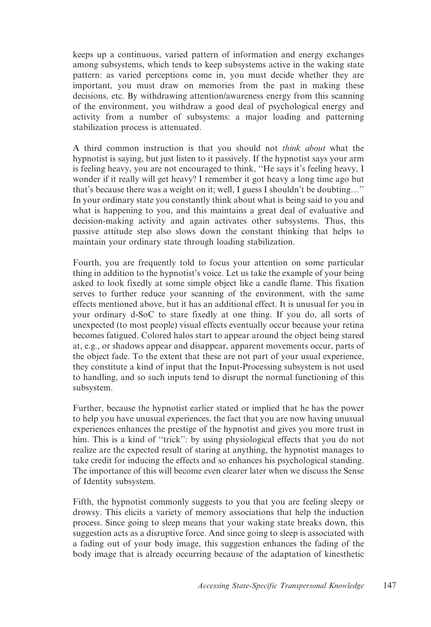keeps up a continuous, varied pattern of information and energy exchanges among subsystems, which tends to keep subsystems active in the waking state pattern: as varied perceptions come in, you must decide whether they are important, you must draw on memories from the past in making these decisions, etc. By withdrawing attention/awareness energy from this scanning of the environment, you withdraw a good deal of psychological energy and activity from a number of subsystems: a major loading and patterning stabilization process is attenuated.

A third common instruction is that you should not think about what the hypnotist is saying, but just listen to it passively. If the hypnotist says your arm is feeling heavy, you are not encouraged to think, ''He says it's feeling heavy, I wonder if it really will get heavy? I remember it got heavy a long time ago but that's because there was a weight on it; well, I guess I shouldn't be doubting…'' In your ordinary state you constantly think about what is being said to you and what is happening to you, and this maintains a great deal of evaluative and decision-making activity and again activates other subsystems. Thus, this passive attitude step also slows down the constant thinking that helps to maintain your ordinary state through loading stabilization.

Fourth, you are frequently told to focus your attention on some particular thing in addition to the hypnotist's voice. Let us take the example of your being asked to look fixedly at some simple object like a candle flame. This fixation serves to further reduce your scanning of the environment, with the same effects mentioned above, but it has an additional effect. It is unusual for you in your ordinary d-SoC to stare fixedly at one thing. If you do, all sorts of unexpected (to most people) visual effects eventually occur because your retina becomes fatigued. Colored halos start to appear around the object being stared at, e.g., or shadows appear and disappear, apparent movements occur, parts of the object fade. To the extent that these are not part of your usual experience, they constitute a kind of input that the Input-Processing subsystem is not used to handling, and so such inputs tend to disrupt the normal functioning of this subsystem.

Further, because the hypnotist earlier stated or implied that he has the power to help you have unusual experiences, the fact that you are now having unusual experiences enhances the prestige of the hypnotist and gives you more trust in him. This is a kind of "trick": by using physiological effects that you do not realize are the expected result of staring at anything, the hypnotist manages to take credit for inducing the effects and so enhances his psychological standing. The importance of this will become even clearer later when we discuss the Sense of Identity subsystem.

Fifth, the hypnotist commonly suggests to you that you are feeling sleepy or drowsy. This elicits a variety of memory associations that help the induction process. Since going to sleep means that your waking state breaks down, this suggestion acts as a disruptive force. And since going to sleep is associated with a fading out of your body image, this suggestion enhances the fading of the body image that is already occurring because of the adaptation of kinesthetic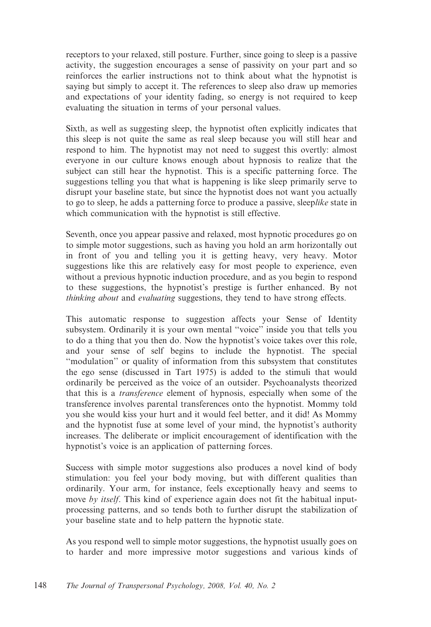receptors to your relaxed, still posture. Further, since going to sleep is a passive activity, the suggestion encourages a sense of passivity on your part and so reinforces the earlier instructions not to think about what the hypnotist is saying but simply to accept it. The references to sleep also draw up memories and expectations of your identity fading, so energy is not required to keep evaluating the situation in terms of your personal values.

Sixth, as well as suggesting sleep, the hypnotist often explicitly indicates that this sleep is not quite the same as real sleep because you will still hear and respond to him. The hypnotist may not need to suggest this overtly: almost everyone in our culture knows enough about hypnosis to realize that the subject can still hear the hypnotist. This is a specific patterning force. The suggestions telling you that what is happening is like sleep primarily serve to disrupt your baseline state, but since the hypnotist does not want you actually to go to sleep, he adds a patterning force to produce a passive, sleeplike state in which communication with the hypnotist is still effective.

Seventh, once you appear passive and relaxed, most hypnotic procedures go on to simple motor suggestions, such as having you hold an arm horizontally out in front of you and telling you it is getting heavy, very heavy. Motor suggestions like this are relatively easy for most people to experience, even without a previous hypnotic induction procedure, and as you begin to respond to these suggestions, the hypnotist's prestige is further enhanced. By not thinking about and evaluating suggestions, they tend to have strong effects.

This automatic response to suggestion affects your Sense of Identity subsystem. Ordinarily it is your own mental ''voice'' inside you that tells you to do a thing that you then do. Now the hypnotist's voice takes over this role, and your sense of self begins to include the hypnotist. The special ''modulation'' or quality of information from this subsystem that constitutes the ego sense (discussed in Tart 1975) is added to the stimuli that would ordinarily be perceived as the voice of an outsider. Psychoanalysts theorized that this is a transference element of hypnosis, especially when some of the transference involves parental transferences onto the hypnotist. Mommy told you she would kiss your hurt and it would feel better, and it did! As Mommy and the hypnotist fuse at some level of your mind, the hypnotist's authority increases. The deliberate or implicit encouragement of identification with the hypnotist's voice is an application of patterning forces.

Success with simple motor suggestions also produces a novel kind of body stimulation: you feel your body moving, but with different qualities than ordinarily. Your arm, for instance, feels exceptionally heavy and seems to move by itself. This kind of experience again does not fit the habitual inputprocessing patterns, and so tends both to further disrupt the stabilization of your baseline state and to help pattern the hypnotic state.

As you respond well to simple motor suggestions, the hypnotist usually goes on to harder and more impressive motor suggestions and various kinds of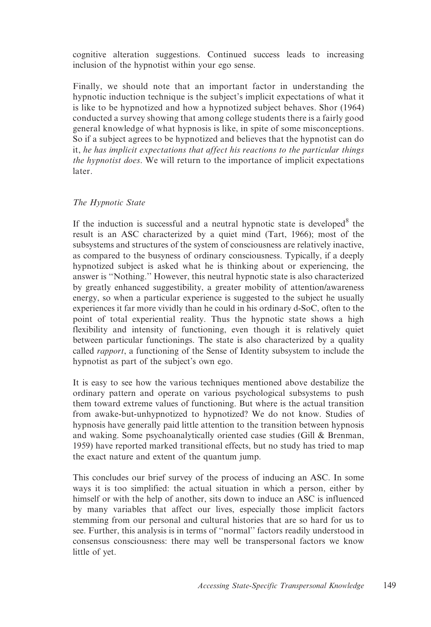cognitive alteration suggestions. Continued success leads to increasing inclusion of the hypnotist within your ego sense.

Finally, we should note that an important factor in understanding the hypnotic induction technique is the subject's implicit expectations of what it is like to be hypnotized and how a hypnotized subject behaves. Shor (1964) conducted a survey showing that among college students there is a fairly good general knowledge of what hypnosis is like, in spite of some misconceptions. So if a subject agrees to be hypnotized and believes that the hypnotist can do it, he has implicit expectations that affect his reactions to the particular things the hypnotist does. We will return to the importance of implicit expectations later.

#### The Hypnotic State

If the induction is successful and a neutral hypnotic state is developed $8$  the result is an ASC characterized by a quiet mind (Tart, 1966); most of the subsystems and structures of the system of consciousness are relatively inactive, as compared to the busyness of ordinary consciousness. Typically, if a deeply hypnotized subject is asked what he is thinking about or experiencing, the answer is ''Nothing.'' However, this neutral hypnotic state is also characterized by greatly enhanced suggestibility, a greater mobility of attention/awareness energy, so when a particular experience is suggested to the subject he usually experiences it far more vividly than he could in his ordinary d-SoC, often to the point of total experiential reality. Thus the hypnotic state shows a high flexibility and intensity of functioning, even though it is relatively quiet between particular functionings. The state is also characterized by a quality called rapport, a functioning of the Sense of Identity subsystem to include the hypnotist as part of the subject's own ego.

It is easy to see how the various techniques mentioned above destabilize the ordinary pattern and operate on various psychological subsystems to push them toward extreme values of functioning. But where is the actual transition from awake-but-unhypnotized to hypnotized? We do not know. Studies of hypnosis have generally paid little attention to the transition between hypnosis and waking. Some psychoanalytically oriented case studies (Gill & Brenman, 1959) have reported marked transitional effects, but no study has tried to map the exact nature and extent of the quantum jump.

This concludes our brief survey of the process of inducing an ASC. In some ways it is too simplified: the actual situation in which a person, either by himself or with the help of another, sits down to induce an ASC is influenced by many variables that affect our lives, especially those implicit factors stemming from our personal and cultural histories that are so hard for us to see. Further, this analysis is in terms of ''normal'' factors readily understood in consensus consciousness: there may well be transpersonal factors we know little of yet.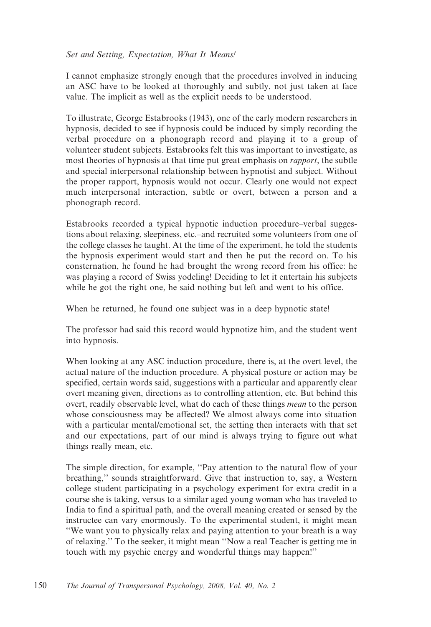### Set and Setting, Expectation, What It Means!

I cannot emphasize strongly enough that the procedures involved in inducing an ASC have to be looked at thoroughly and subtly, not just taken at face value. The implicit as well as the explicit needs to be understood.

To illustrate, George Estabrooks (1943), one of the early modern researchers in hypnosis, decided to see if hypnosis could be induced by simply recording the verbal procedure on a phonograph record and playing it to a group of volunteer student subjects. Estabrooks felt this was important to investigate, as most theories of hypnosis at that time put great emphasis on *rapport*, the subtle and special interpersonal relationship between hypnotist and subject. Without the proper rapport, hypnosis would not occur. Clearly one would not expect much interpersonal interaction, subtle or overt, between a person and a phonograph record.

Estabrooks recorded a typical hypnotic induction procedure–verbal suggestions about relaxing, sleepiness, etc.–and recruited some volunteers from one of the college classes he taught. At the time of the experiment, he told the students the hypnosis experiment would start and then he put the record on. To his consternation, he found he had brought the wrong record from his office: he was playing a record of Swiss yodeling! Deciding to let it entertain his subjects while he got the right one, he said nothing but left and went to his office.

When he returned, he found one subject was in a deep hypnotic state!

The professor had said this record would hypnotize him, and the student went into hypnosis.

When looking at any ASC induction procedure, there is, at the overt level, the actual nature of the induction procedure. A physical posture or action may be specified, certain words said, suggestions with a particular and apparently clear overt meaning given, directions as to controlling attention, etc. But behind this overt, readily observable level, what do each of these things *mean* to the person whose consciousness may be affected? We almost always come into situation with a particular mental/emotional set, the setting then interacts with that set and our expectations, part of our mind is always trying to figure out what things really mean, etc.

The simple direction, for example, ''Pay attention to the natural flow of your breathing,'' sounds straightforward. Give that instruction to, say, a Western college student participating in a psychology experiment for extra credit in a course she is taking, versus to a similar aged young woman who has traveled to India to find a spiritual path, and the overall meaning created or sensed by the instructee can vary enormously. To the experimental student, it might mean ''We want you to physically relax and paying attention to your breath is a way of relaxing.'' To the seeker, it might mean ''Now a real Teacher is getting me in touch with my psychic energy and wonderful things may happen!''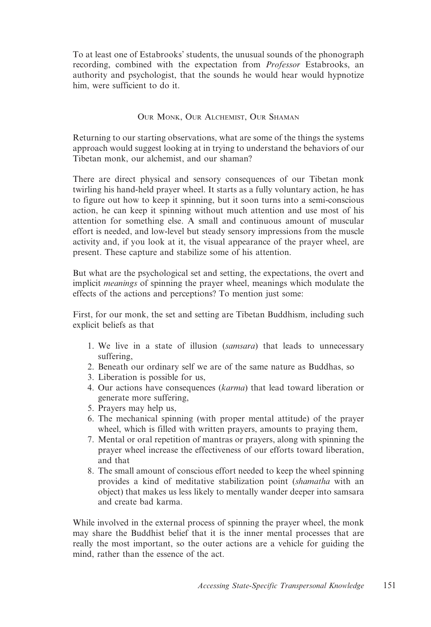To at least one of Estabrooks' students, the unusual sounds of the phonograph recording, combined with the expectation from Professor Estabrooks, an authority and psychologist, that the sounds he would hear would hypnotize him, were sufficient to do it.

### OUR MONK, OUR ALCHEMIST, OUR SHAMAN

Returning to our starting observations, what are some of the things the systems approach would suggest looking at in trying to understand the behaviors of our Tibetan monk, our alchemist, and our shaman?

There are direct physical and sensory consequences of our Tibetan monk twirling his hand-held prayer wheel. It starts as a fully voluntary action, he has to figure out how to keep it spinning, but it soon turns into a semi-conscious action, he can keep it spinning without much attention and use most of his attention for something else. A small and continuous amount of muscular effort is needed, and low-level but steady sensory impressions from the muscle activity and, if you look at it, the visual appearance of the prayer wheel, are present. These capture and stabilize some of his attention.

But what are the psychological set and setting, the expectations, the overt and implicit *meanings* of spinning the prayer wheel, meanings which modulate the effects of the actions and perceptions? To mention just some:

First, for our monk, the set and setting are Tibetan Buddhism, including such explicit beliefs as that

- 1. We live in a state of illusion (samsara) that leads to unnecessary suffering,
- 2. Beneath our ordinary self we are of the same nature as Buddhas, so
- 3. Liberation is possible for us,
- 4. Our actions have consequences (karma) that lead toward liberation or generate more suffering,
- 5. Prayers may help us,
- 6. The mechanical spinning (with proper mental attitude) of the prayer wheel, which is filled with written prayers, amounts to praying them,
- 7. Mental or oral repetition of mantras or prayers, along with spinning the prayer wheel increase the effectiveness of our efforts toward liberation, and that
- 8. The small amount of conscious effort needed to keep the wheel spinning provides a kind of meditative stabilization point (shamatha with an object) that makes us less likely to mentally wander deeper into samsara and create bad karma.

While involved in the external process of spinning the prayer wheel, the monk may share the Buddhist belief that it is the inner mental processes that are really the most important, so the outer actions are a vehicle for guiding the mind, rather than the essence of the act.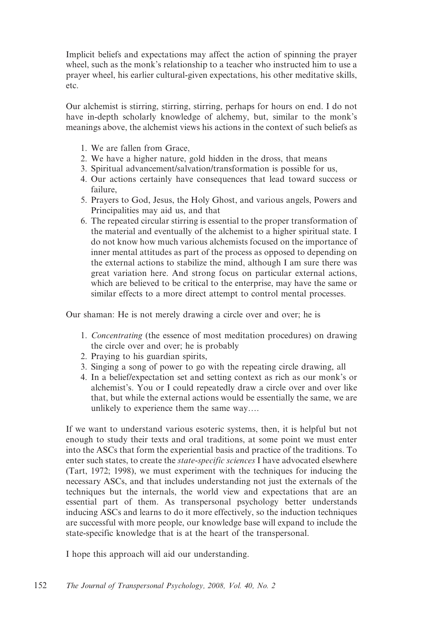Implicit beliefs and expectations may affect the action of spinning the prayer wheel, such as the monk's relationship to a teacher who instructed him to use a prayer wheel, his earlier cultural-given expectations, his other meditative skills, etc.

Our alchemist is stirring, stirring, stirring, perhaps for hours on end. I do not have in-depth scholarly knowledge of alchemy, but, similar to the monk's meanings above, the alchemist views his actions in the context of such beliefs as

- 1. We are fallen from Grace,
- 2. We have a higher nature, gold hidden in the dross, that means
- 3. Spiritual advancement/salvation/transformation is possible for us,
- 4. Our actions certainly have consequences that lead toward success or failure,
- 5. Prayers to God, Jesus, the Holy Ghost, and various angels, Powers and Principalities may aid us, and that
- 6. The repeated circular stirring is essential to the proper transformation of the material and eventually of the alchemist to a higher spiritual state. I do not know how much various alchemists focused on the importance of inner mental attitudes as part of the process as opposed to depending on the external actions to stabilize the mind, although I am sure there was great variation here. And strong focus on particular external actions, which are believed to be critical to the enterprise, may have the same or similar effects to a more direct attempt to control mental processes.

Our shaman: He is not merely drawing a circle over and over; he is

- 1. Concentrating (the essence of most meditation procedures) on drawing the circle over and over; he is probably
- 2. Praying to his guardian spirits,
- 3. Singing a song of power to go with the repeating circle drawing, all
- 4. In a belief/expectation set and setting context as rich as our monk's or alchemist's. You or I could repeatedly draw a circle over and over like that, but while the external actions would be essentially the same, we are unlikely to experience them the same way….

If we want to understand various esoteric systems, then, it is helpful but not enough to study their texts and oral traditions, at some point we must enter into the ASCs that form the experiential basis and practice of the traditions. To enter such states, to create the *state-specific sciences* I have advocated elsewhere (Tart, 1972; 1998), we must experiment with the techniques for inducing the necessary ASCs, and that includes understanding not just the externals of the techniques but the internals, the world view and expectations that are an essential part of them. As transpersonal psychology better understands inducing ASCs and learns to do it more effectively, so the induction techniques are successful with more people, our knowledge base will expand to include the state-specific knowledge that is at the heart of the transpersonal.

I hope this approach will aid our understanding.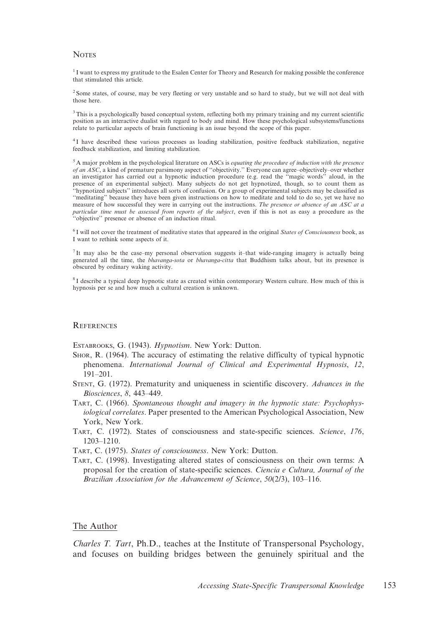#### **NOTES**

<sup>1</sup> I want to express my gratitude to the Esalen Center for Theory and Research for making possible the conference that stimulated this article.

<sup>2</sup> Some states, of course, may be very fleeting or very unstable and so hard to study, but we will not deal with those here.

<sup>3</sup>This is a psychologically based conceptual system, reflecting both my primary training and my current scientific position as an interactive dualist with regard to body and mind. How these psychological subsystems/functions relate to particular aspects of brain functioning is an issue beyond the scope of this paper.

<sup>4</sup> I have described these various processes as loading stabilization, positive feedback stabilization, negative feedback stabilization, and limiting stabilization.

 $5$  A major problem in the psychological literature on ASCs is *equating the procedure of induction with the presence* of an ASC, a kind of premature parsimony aspect of ''objectivity.'' Everyone can agree–objectively–over whether an investigator has carried out a hypnotic induction procedure (e.g. read the "magic words" aloud, in the presence of an experimental subject). Many subjects do not get hypnotized, though, so to count them as ''hypnotized subjects'' introduces all sorts of confusion. Or a group of experimental subjects may be classified as ''meditating'' because they have been given instructions on how to meditate and told to do so, yet we have no measure of how successful they were in carrying out the instructions. The presence or absence of an ASC at a particular time must be assessed from reports of the subject, even if this is not as easy a procedure as the "objective" presence or absence of an induction ritual.

 $6$  I will not cover the treatment of meditative states that appeared in the original States of Consciousness book, as I want to rethink some aspects of it.

<sup>7</sup> It may also be the case–my personal observation suggests it–that wide-ranging imagery is actually being generated all the time, the bhavanga-sota or bhavanga-citta that Buddhism talks about, but its presence is obscured by ordinary waking activity.

 $8$ I describe a typical deep hypnotic state as created within contemporary Western culture. How much of this is hypnosis per se and how much a cultural creation is unknown.

#### REFERENCES

ESTABROOKS, G. (1943). Hypnotism. New York: Dutton.

- SHOR, R. (1964). The accuracy of estimating the relative difficulty of typical hypnotic phenomena. International Journal of Clinical and Experimental Hypnosis, 12, 191–201.
- STENT, G. (1972). Prematurity and uniqueness in scientific discovery. Advances in the Biosciences, 8, 443–449.
- TART, C. (1966). Spontaneous thought and imagery in the hypnotic state: Psychophysiological correlates. Paper presented to the American Psychological Association, New York, New York.
- TART, C. (1972). States of consciousness and state-specific sciences. Science, 176, 1203–1210.

TART, C. (1975). States of consciousness. New York: Dutton.

TART, C. (1998). Investigating altered states of consciousness on their own terms: A proposal for the creation of state-specific sciences. Ciencia e Cultura, Journal of the Brazilian Association for the Advancement of Science, 50(2/3), 103–116.

#### The Author

Charles T. Tart, Ph.D., teaches at the Institute of Transpersonal Psychology, and focuses on building bridges between the genuinely spiritual and the